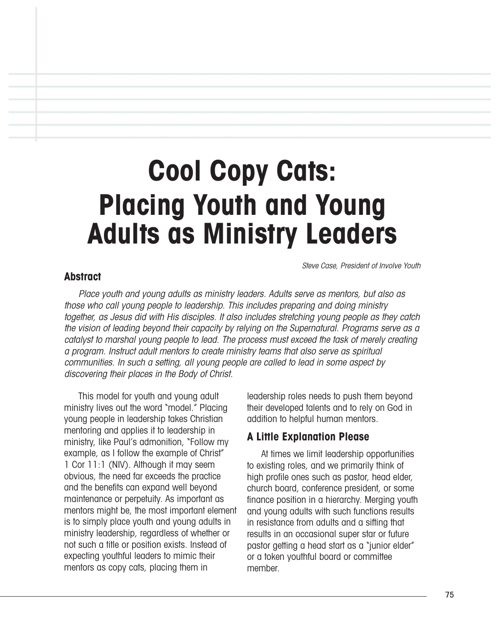# **Cool Copy Cats: Placing Youth and Young Adults as Ministry Leaders**

Steve Case, President of Involve Youth

#### **Abstract**

Place youth and young adults as ministry leaders. Adults serve as mentors, but also as those who call young people to leadership. This includes preparing and doing ministry together, as Jesus did with His disciples. It also includes stretching young people as they catch the vision of leading beyond their capacity by relying on the Supernatural. Programs serve as <sup>a</sup> catalyst to marshal young people to lead. The process must exceed the task of merely creating <sup>a</sup> program. Instruct adult mentors to create ministry teams that also serve as spiritual communities. In such <sup>a</sup> setting, all young people are called to lead in some aspect by discovering their places in the Body of Christ.

This model for youth and young adult ministry lives out the word "model." Placing young people in leadership takes Christian mentoring and applies it to leadership in ministry, like Paul's admonition, "Follow my example, as I follow the example of Christ" 1 Cor 11:1 (NIV). Although it may seem obvious, the need far exceeds the practice and the benefits can expand well beyond maintenance or perpetuity. As important as mentors might be, the most important element is to simply place youth and young adults in ministry leadership, regardless of whether or not such a title or position exists. Instead of expecting youthful leaders to mimic their mentors as copy cats, placing them in

leadership roles needs to push them beyond their developed talents and to rely on God in addition to helpful human mentors.

## **A Little Explanation Please**

At times we limit leadership opportunities to existing roles, and we primarily think of high profile ones such as pastor, head elder, church board, conference president, or some finance position in a hierarchy. Merging youth and young adults with such functions results in resistance from adults and a sifting that results in an occasional super star or future pastor getting a head start as a "junior elder" or a token youthful board or committee member.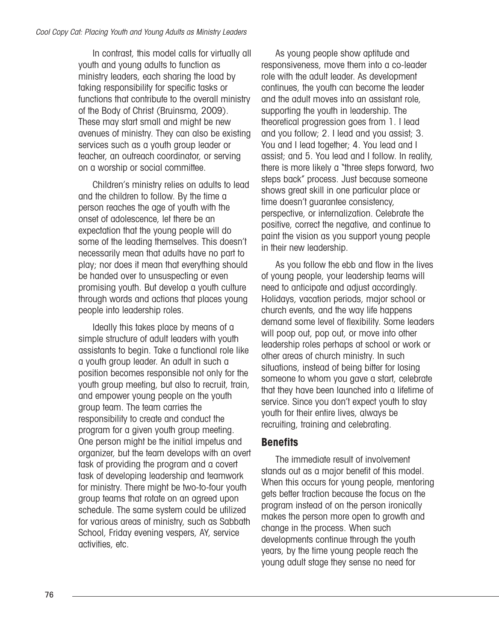In contrast, this model calls for virtually all youth and young adults to function as ministry leaders, each sharing the load by taking responsibility for specific tasks or functions that contribute to the overall ministry of the Body of Christ (Bruinsma, 2009). These may start small and might be new avenues of ministry. They can also be existing services such as a youth group leader or teacher, an outreach coordinator, or serving on a worship or social committee.

Children's ministry relies on adults to lead and the children to follow. By the time a person reaches the age of youth with the onset of adolescence, let there be an expectation that the young people will do some of the leading themselves. This doesn't necessarily mean that adults have no part to play; nor does it mean that everything should be handed over to unsuspecting or even promising youth. But develop a youth culture through words and actions that places young people into leadership roles.

Ideally this takes place by means of a simple structure of adult leaders with youth assistants to begin. Take a functional role like a youth group leader. An adult in such a position becomes responsible not only for the youth group meeting, but also to recruit, train, and empower young people on the youth group team. The team carries the responsibility to create and conduct the program for a given youth group meeting. One person might be the initial impetus and organizer, but the team develops with an overt task of providing the program and a covert task of developing leadership and teamwork for ministry. There might be two-to-four youth group teams that rotate on an agreed upon schedule. The same system could be utilized for various areas of ministry, such as Sabbath School, Friday evening vespers, AY, service activities, etc.

As young people show aptitude and responsiveness, move them into a co-leader role with the adult leader. As development continues, the youth can become the leader and the adult moves into an assistant role, supporting the youth in leadership. The theoretical progression goes from 1. I lead and you follow; 2. I lead and you assist; 3. You and I lead together; 4. You lead and I assist; and 5. You lead and I follow. In reality, there is more likely a "three steps forward, two steps back" process. Just because someone shows great skill in one particular place or time doesn't guarantee consistency, perspective, or internalization. Celebrate the positive, correct the negative, and continue to paint the vision as you support young people in their new leadership.

As you follow the ebb and flow in the lives of young people, your leadership teams will need to anticipate and adjust accordingly. Holidays, vacation periods, major school or church events, and the way life happens demand some level of flexibility. Some leaders will poop out, pop out, or move into other leadership roles perhaps at school or work or other areas of church ministry. In such situations, instead of being bitter for losing someone to whom you gave a start, celebrate that they have been launched into a lifetime of service. Since you don't expect youth to stay youth for their entire lives, always be recruiting, training and celebrating.

#### **Benefits**

The immediate result of involvement stands out as a major benefit of this model. When this occurs for young people, mentoring gets better traction because the focus on the program instead of on the person ironically makes the person more open to growth and change in the process. When such developments continue through the youth years, by the time young people reach the young adult stage they sense no need for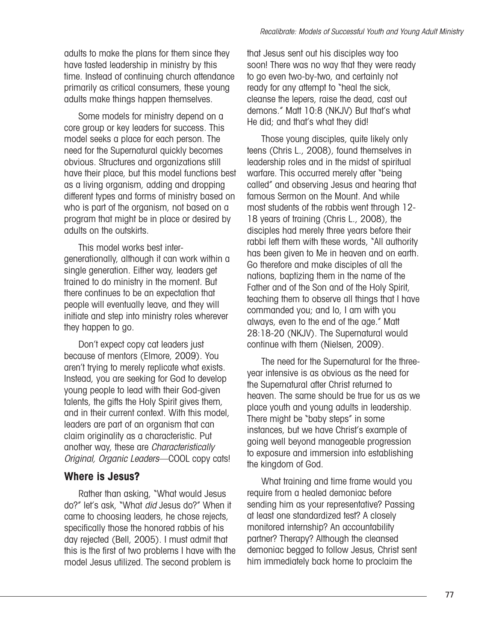adults to make the plans for them since they have tasted leadership in ministry by this time. Instead of continuing church attendance primarily as critical consumers, these young adults make things happen themselves.

Some models for ministry depend on a core group or key leaders for success. This model seeks a place for each person. The need for the Supernatural quickly becomes obvious. Structures and organizations still have their place, but this model functions best as a living organism, adding and dropping different types and forms of ministry based on who is part of the organism, not based on a program that might be in place or desired by adults on the outskirts.

This model works best intergenerationally, although it can work within a single generation. Either way, leaders get trained to do ministry in the moment. But there continues to be an expectation that people will eventually leave, and they will initiate and step into ministry roles wherever they happen to go.

Don't expect copy cat leaders just because of mentors (Elmore, 2009). You aren't trying to merely replicate what exists. Instead, you are seeking for God to develop young people to lead with their God-given talents, the gifts the Holy Spirit gives them, and in their current context. With this model, leaders are part of an organism that can claim originality as a characteristic. Put another way, these are Characteristically Original, Organic Leaders—COOL copy cats!

## **Where is Jesus?**

Rather than asking, "What would Jesus do?" let's ask, "What did Jesus do?" When it came to choosing leaders, he chose rejects, specifically those the honored rabbis of his day rejected (Bell, 2005). I must admit that this is the first of two problems I have with the model Jesus utilized. The second problem is

that Jesus sent out his disciples way too soon! There was no way that they were ready to go even two-by-two, and certainly not ready for any attempt to "heal the sick, cleanse the lepers, raise the dead, cast out demons." Matt 10:8 (NKJV) But that's what He did; and that's what they did!

Those young disciples, quite likely only teens (Chris L., 2008), found themselves in leadership roles and in the midst of spiritual warfare. This occurred merely after "being" called" and observing Jesus and hearing that famous Sermon on the Mount. And while most students of the rabbis went through 12- 18 years of training (Chris L., 2008), the disciples had merely three years before their rabbi left them with these words, "All authority has been given to Me in heaven and on earth. Go therefore and make disciples of all the nations, baptizing them in the name of the Father and of the Son and of the Holy Spirit, teaching them to observe all things that I have commanded you; and lo, I am with you always, even to the end of the age." Matt 28:18-20 (NKJV). The Supernatural would continue with them (Nielsen, 2009).

The need for the Supernatural for the threeyear intensive is as obvious as the need for the Supernatural after Christ returned to heaven. The same should be true for us as we place youth and young adults in leadership. There might be "baby steps" in some instances, but we have Christ's example of going well beyond manageable progression to exposure and immersion into establishing the kingdom of God.

What training and time frame would you require from a healed demoniac before sending him as your representative? Passing at least one standardized test? A closely monitored internship? An accountability partner? Therapy? Although the cleansed demoniac begged to follow Jesus, Christ sent him immediately back home to proclaim the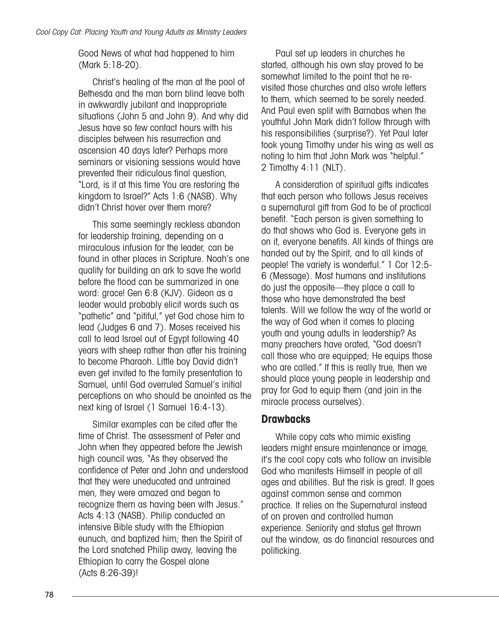Good News of what had happened to him (Mark 5:18-20).

Christ's healing of the man at the pool of Bethesda and the man born blind leave both in awkwardly jubilant and inappropriate situations (John 5 and John 9). And why did Jesus have so few contact hours with his disciples between his resurrection and ascension 40 days later? Perhaps more seminars or visioning sessions would have prevented their ridiculous final question, "Lord, is it at this time You are restoring the kingdom to Israel?" Acts 1:6 (NASB). Why didn't Christ hover over them more?

This same seemingly reckless abandon for leadership training, depending on a miraculous infusion for the leader, can be found in other places in Scripture. Noah's one quality for building an ark to save the world before the flood can be summarized in one word: grace! Gen 6:8 (KJV). Gideon as a leader would probably elicit words such as "pathetic" and "pitiful," yet God chose him to lead (Judges 6 and 7). Moses received his call to lead Israel out of Egypt following 40 years with sheep rather than after his training to become Pharaoh. Little boy David didn't even get invited to the family presentation to Samuel, until God overruled Samuel's initial perceptions on who should be anointed as the next king of Israel (1 Samuel 16:4-13).

Similar examples can be cited after the time of Christ. The assessment of Peter and John when they appeared before the Jewish high council was, "As they observed the confidence of Peter and John and understood that they were uneducated and untrained men, they were amazed and began to recognize them as having been with Jesus." Acts 4:13 (NASB). Philip conducted an intensive Bible study with the Ethiopian eunuch, and baptized him; then the Spirit of the Lord snatched Philip away, leaving the Ethiopian to carry the Gospel alone (Acts 8:26-39)!

Paul set up leaders in churches he started, although his own stay proved to be somewhat limited to the point that he revisited those churches and also wrote letters to them, which seemed to be sorely needed. And Paul even split with Barnabas when the youthful John Mark didn't follow through with his responsibilities (surprise?). Yet Paul later took young Timothy under his wing as well as noting to him that John Mark was "helpful." 2 Timothy 4:11 (NLT).

A consideration of spiritual gifts indicates that each person who follows Jesus receives a supernatural gift from God to be of practical benefit. "Each person is given something to do that shows who God is. Everyone gets in on it, everyone benefits. All kinds of things are handed out by the Spirit, and to all kinds of people! The variety is wonderful." 1 Cor 12:5- 6 (Message). Most humans and institutions do just the opposite—they place a call to those who have demonstrated the best talents. Will we follow the way of the world or the way of God when it comes to placing youth and young adults in leadership? As many preachers have orated, "God doesn't call those who are equipped; He equips those who are called." If this is really true, then we should place young people in leadership and pray for God to equip them (and join in the miracle process ourselves).

#### **Drawbacks**

While copy cats who mimic existing leaders might ensure maintenance or image, it's the cool copy cats who follow an invisible God who manifests Himself in people of all ages and abilities. But the risk is great. It goes against common sense and common practice. It relies on the Supernatural instead of on proven and controlled human experience. Seniority and status get thrown out the window, as do financial resources and politicking.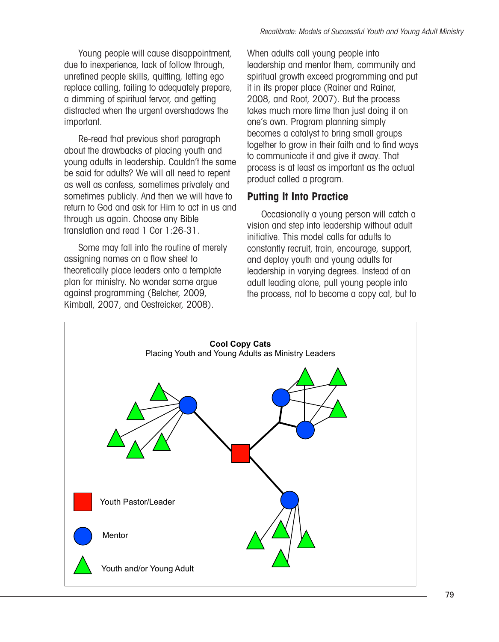Young people will cause disappointment, due to inexperience, lack of follow through, unrefined people skills, quitting, letting ego replace calling, failing to adequately prepare, a dimming of spiritual fervor, and getting distracted when the urgent overshadows the important.

Re-read that previous short paragraph about the drawbacks of placing youth and young adults in leadership. Couldn't the same be said for adults? We will all need to repent as well as confess, sometimes privately and sometimes publicly. And then we will have to return to God and ask for Him to act in us and through us again. Choose any Bible translation and read 1 Cor 1:26-31.

Some may fall into the routine of merely assigning names on a flow sheet to theoretically place leaders onto a template plan for ministry. No wonder some argue against programming (Belcher, 2009, Kimball, 2007, and Oestreicker, 2008).

When adults call young people into leadership and mentor them, community and spiritual growth exceed programming and put it in its proper place (Rainer and Rainer, 2008, and Root, 2007). But the process takes much more time than just doing it on one's own. Program planning simply becomes a catalyst to bring small groups together to grow in their faith and to find ways to communicate it and give it away. That process is at least as important as the actual product called a program.

# **Putting It Into Practice**

Occasionally a young person will catch a vision and step into leadership without adult initiative. This model calls for adults to constantly recruit, train, encourage, support, and deploy youth and young adults for leadership in varying degrees. Instead of an adult leading alone, pull young people into the process, not to become a copy cat, but to